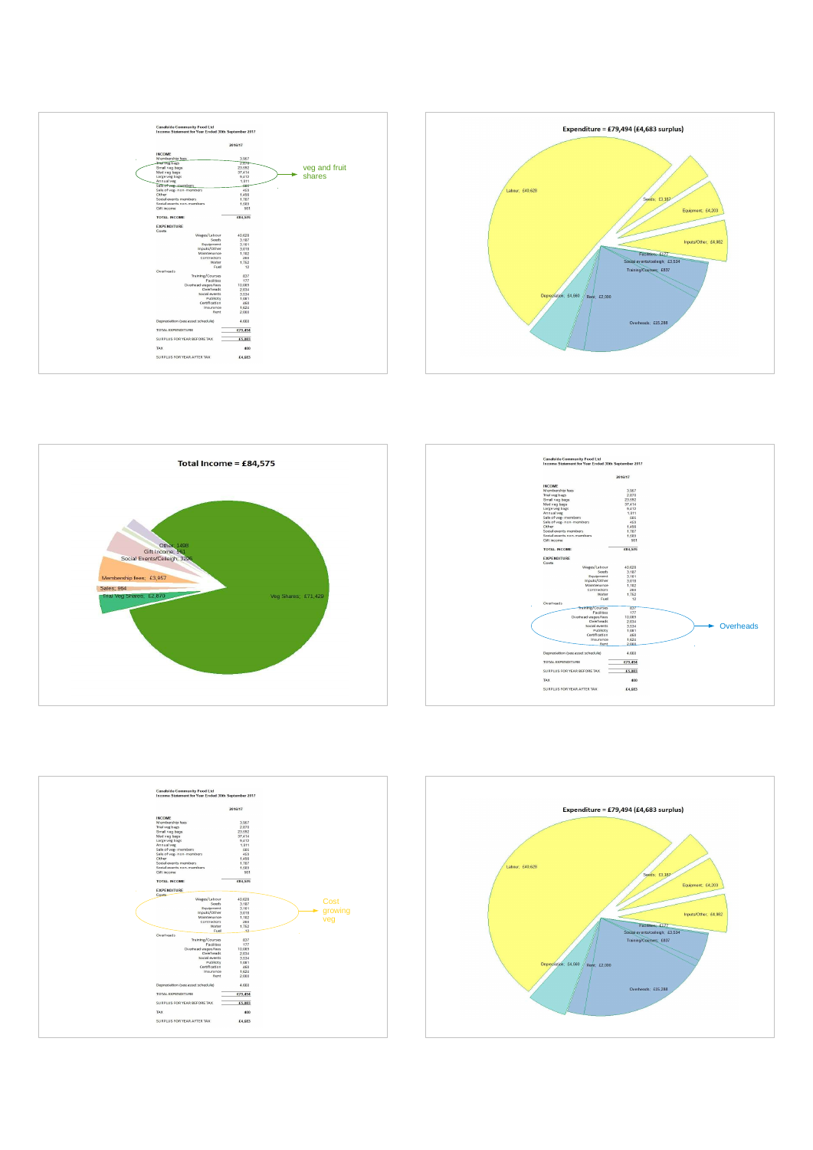









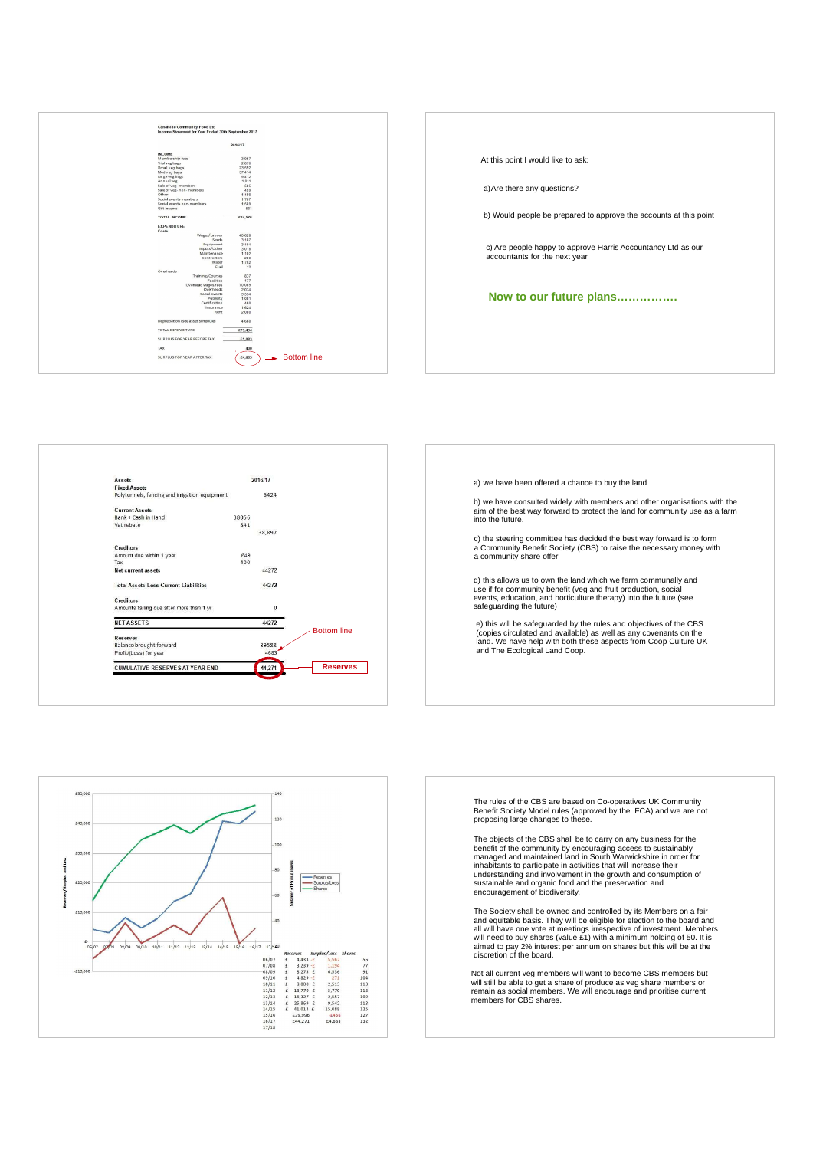





a) we have been offered a chance to buy the land

b) we have consulted widely with members and other organisations with the aim of the best way forward to protect the land for community use as a farm into the future.

c) the steering committee has decided the best way forward is to form a Community Benefit Society (CBS) to raise the necessary money with a community share offer

d) this allows us to own the land which we farm communally and use if for community benefit (veg and fruit production, social events, education, and horticulture therapy) into the future (see safeguarding the future)

e) this will be safeguarded by the rules and objectives of the CBS (copies circulated and available) as well as any covenants on the land. We have help with both these aspects from Coop Culture UK and The Ecological Land Coop.



The rules of the CBS are based on Co-operatives UK Community Benefit Society Model rules (approved by the FCA) and we are not proposing large changes to these.

The objects of the CBS shall be to carry on any business for the benefit of the community by encouraging access to sustainably<br>managed and maintained land in South Warwickshire in order for<br>inhabitants to participate in activities that will increase their<br>understanding and involvement i encouragement of biodiversity.

The Society shall be owned and controlled by its Members on a fair and equitable basis. They will be eligible for election to the board and all will have one vote at meetings irrespective of investment. Members will need to buy shares (value £1) with a minimum holding of 50. It is aimed to pay 2% interest per annum on shares but this will be at the discretion of the board.

Not all current veg members will want to become CBS members but<br>will still be able to get a share of produce as veg share members or<br>remain as social members. We will encourage and prioritise current<br>members for CBS shares